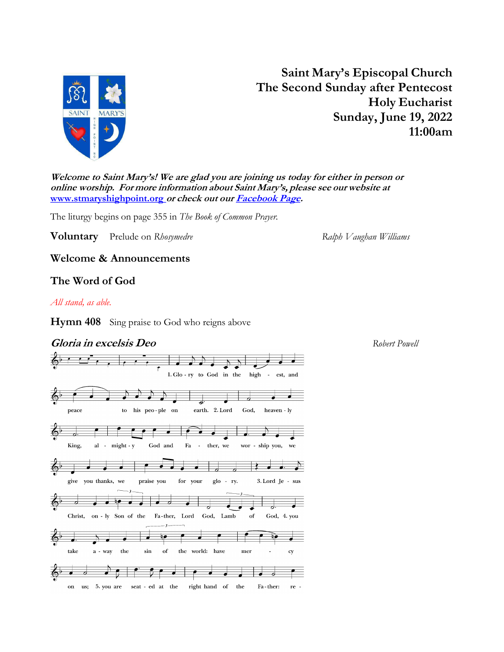

Saint Mary's Episcopal Church The Second Sunday after Pentecost Holy Eucharist Sunday, June 19, 2022 11:00am

Welcome to Saint Mary's! We are glad you are joining us today for either in person or online worship. For more information about Saint Mary's, please see our website at www.stmaryshighpoint.org or check out our **Facebook Page**.

The liturgy begins on page 355 in The Book of Common Prayer.

**Voluntary** Prelude on Rhosymedre **Ralph Vaughan Williams** Ralph Vaughan Williams

Welcome & Announcements

# The Word of God

## All stand, as able.

Hymn 408 Sing praise to God who reigns above

# **Gloria in excelsis Deo Robert Powell Robert Powell Robert Powell**

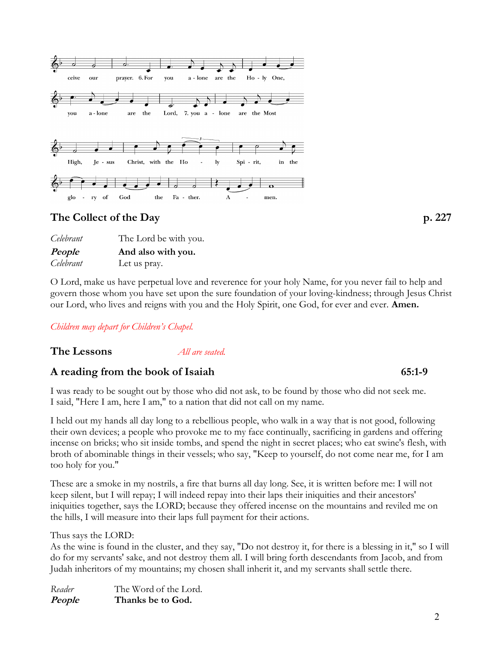

| Celebrant | The Lord be with you. |
|-----------|-----------------------|
| People    | And also with you.    |
| Celebrant | Let us pray.          |

O Lord, make us have perpetual love and reverence for your holy Name, for you never fail to help and govern those whom you have set upon the sure foundation of your loving-kindness; through Jesus Christ our Lord, who lives and reigns with you and the Holy Spirit, one God, for ever and ever. Amen.

Children may depart for Children's Chapel.

**The Lessons** *All are seated.* 

# A reading from the book of Isaiah 65:1-9

I was ready to be sought out by those who did not ask, to be found by those who did not seek me. I said, "Here I am, here I am," to a nation that did not call on my name.

I held out my hands all day long to a rebellious people, who walk in a way that is not good, following their own devices; a people who provoke me to my face continually, sacrificing in gardens and offering incense on bricks; who sit inside tombs, and spend the night in secret places; who eat swine's flesh, with broth of abominable things in their vessels; who say, "Keep to yourself, do not come near me, for I am too holy for you."

These are a smoke in my nostrils, a fire that burns all day long. See, it is written before me: I will not keep silent, but I will repay; I will indeed repay into their laps their iniquities and their ancestors' iniquities together, says the LORD; because they offered incense on the mountains and reviled me on the hills, I will measure into their laps full payment for their actions.

Thus says the LORD:

As the wine is found in the cluster, and they say, "Do not destroy it, for there is a blessing in it," so I will do for my servants' sake, and not destroy them all. I will bring forth descendants from Jacob, and from Judah inheritors of my mountains; my chosen shall inherit it, and my servants shall settle there.

Reader The Word of the Lord. People Thanks be to God.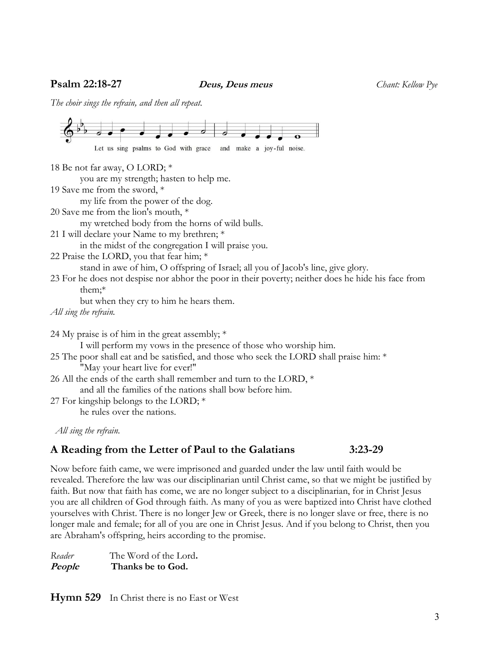**Psalm 22:18-27** Deus, Deus meus Chant: Kellow Pye

The choir sings the refrain, and then all repeat.



All sing the refrain.

# A Reading from the Letter of Paul to the Galatians 3:23-29

Now before faith came, we were imprisoned and guarded under the law until faith would be revealed. Therefore the law was our disciplinarian until Christ came, so that we might be justified by faith. But now that faith has come, we are no longer subject to a disciplinarian, for in Christ Jesus you are all children of God through faith. As many of you as were baptized into Christ have clothed yourselves with Christ. There is no longer Jew or Greek, there is no longer slave or free, there is no longer male and female; for all of you are one in Christ Jesus. And if you belong to Christ, then you are Abraham's offspring, heirs according to the promise.

Reader The Word of the Lord. People Thanks be to God.

Hymn 529 In Christ there is no East or West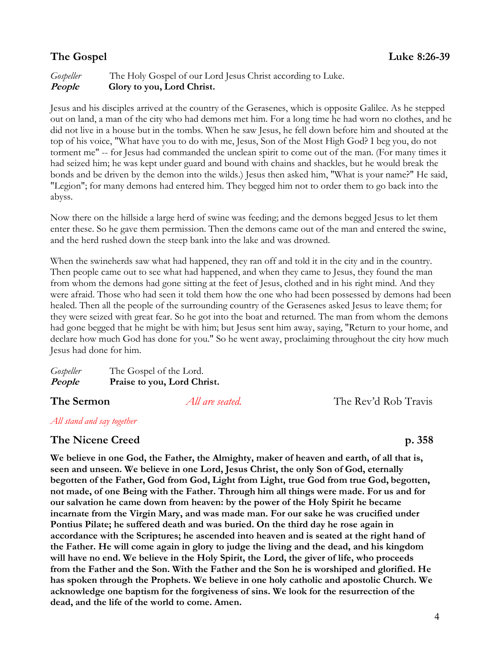# Gospeller The Holy Gospel of our Lord Jesus Christ according to Luke. People Glory to you, Lord Christ.

Jesus and his disciples arrived at the country of the Gerasenes, which is opposite Galilee. As he stepped out on land, a man of the city who had demons met him. For a long time he had worn no clothes, and he did not live in a house but in the tombs. When he saw Jesus, he fell down before him and shouted at the top of his voice, "What have you to do with me, Jesus, Son of the Most High God? I beg you, do not torment me" -- for Jesus had commanded the unclean spirit to come out of the man. (For many times it had seized him; he was kept under guard and bound with chains and shackles, but he would break the bonds and be driven by the demon into the wilds.) Jesus then asked him, "What is your name?" He said, "Legion"; for many demons had entered him. They begged him not to order them to go back into the abyss.

Now there on the hillside a large herd of swine was feeding; and the demons begged Jesus to let them enter these. So he gave them permission. Then the demons came out of the man and entered the swine, and the herd rushed down the steep bank into the lake and was drowned.

When the swineherds saw what had happened, they ran off and told it in the city and in the country. Then people came out to see what had happened, and when they came to Jesus, they found the man from whom the demons had gone sitting at the feet of Jesus, clothed and in his right mind. And they were afraid. Those who had seen it told them how the one who had been possessed by demons had been healed. Then all the people of the surrounding country of the Gerasenes asked Jesus to leave them; for they were seized with great fear. So he got into the boat and returned. The man from whom the demons had gone begged that he might be with him; but Jesus sent him away, saying, "Return to your home, and declare how much God has done for you." So he went away, proclaiming throughout the city how much Jesus had done for him.

| Gospeller | The Gospel of the Lord.     |
|-----------|-----------------------------|
| People    | Praise to you, Lord Christ. |

**The Sermon** *All are seated.* The Rev'd Rob Travis

# All stand and say together

# The Nicene Creed p. 358

We believe in one God, the Father, the Almighty, maker of heaven and earth, of all that is, seen and unseen. We believe in one Lord, Jesus Christ, the only Son of God, eternally begotten of the Father, God from God, Light from Light, true God from true God, begotten, not made, of one Being with the Father. Through him all things were made. For us and for our salvation he came down from heaven: by the power of the Holy Spirit he became incarnate from the Virgin Mary, and was made man. For our sake he was crucified under Pontius Pilate; he suffered death and was buried. On the third day he rose again in accordance with the Scriptures; he ascended into heaven and is seated at the right hand of the Father. He will come again in glory to judge the living and the dead, and his kingdom will have no end. We believe in the Holy Spirit, the Lord, the giver of life, who proceeds from the Father and the Son. With the Father and the Son he is worshiped and glorified. He has spoken through the Prophets. We believe in one holy catholic and apostolic Church. We acknowledge one baptism for the forgiveness of sins. We look for the resurrection of the dead, and the life of the world to come. Amen.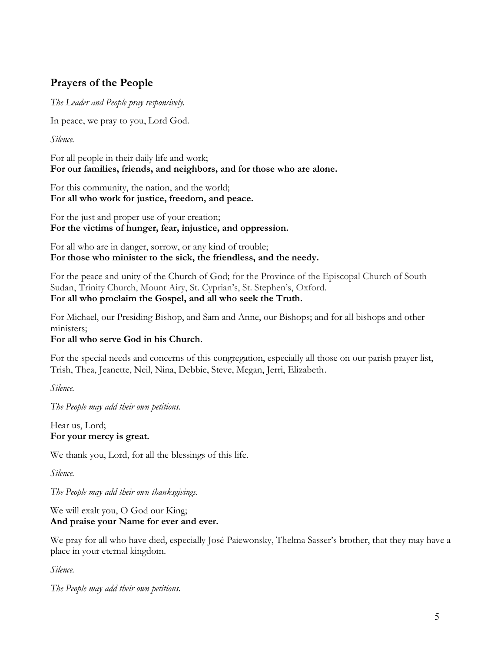# Prayers of the People

The Leader and People pray responsively.

In peace, we pray to you, Lord God.

Silence.

For all people in their daily life and work; For our families, friends, and neighbors, and for those who are alone.

For this community, the nation, and the world; For all who work for justice, freedom, and peace.

For the just and proper use of your creation; For the victims of hunger, fear, injustice, and oppression.

For all who are in danger, sorrow, or any kind of trouble; For those who minister to the sick, the friendless, and the needy.

For the peace and unity of the Church of God; for the Province of the Episcopal Church of South Sudan, Trinity Church, Mount Airy, St. Cyprian's, St. Stephen's, Oxford. For all who proclaim the Gospel, and all who seek the Truth.

For Michael, our Presiding Bishop, and Sam and Anne, our Bishops; and for all bishops and other ministers;

# For all who serve God in his Church.

For the special needs and concerns of this congregation, especially all those on our parish prayer list, Trish, Thea, Jeanette, Neil, Nina, Debbie, Steve, Megan, Jerri, Elizabeth.

Silence.

The People may add their own petitions.

Hear us, Lord; For your mercy is great.

We thank you, Lord, for all the blessings of this life.

Silence.

The People may add their own thanksgivings.

## We will exalt you, O God our King; And praise your Name for ever and ever.

We pray for all who have died, especially José Paiewonsky, Thelma Sasser's brother, that they may have a place in your eternal kingdom.

Silence.

The People may add their own petitions.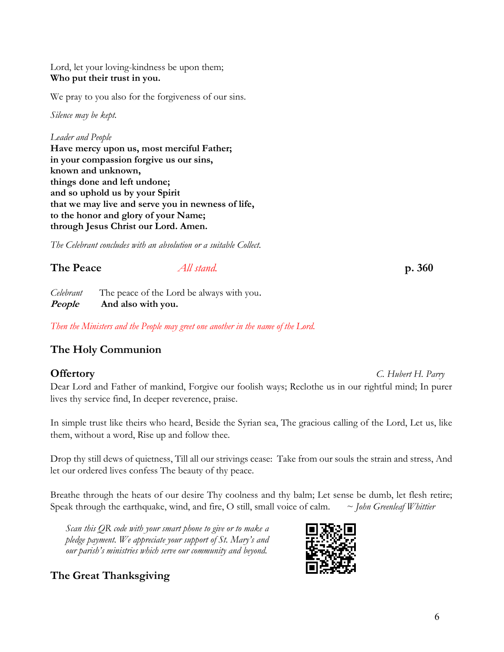## Lord, let your loving-kindness be upon them; Who put their trust in you.

We pray to you also for the forgiveness of our sins.

Silence may be kept.

Leader and People Have mercy upon us, most merciful Father; in your compassion forgive us our sins, known and unknown, things done and left undone; and so uphold us by your Spirit that we may live and serve you in newness of life, to the honor and glory of your Name; through Jesus Christ our Lord. Amen.

The Celebrant concludes with an absolution or a suitable Collect.

| The Peace | All stand. | p. 360 |
|-----------|------------|--------|
|           |            |        |

Celebrant The peace of the Lord be always with you. People And also with you.

Then the Ministers and the People may greet one another in the name of the Lord.

# The Holy Communion

# **Offertory** C. Hubert H. Parry

Dear Lord and Father of mankind, Forgive our foolish ways; Reclothe us in our rightful mind; In purer lives thy service find, In deeper reverence, praise.

In simple trust like theirs who heard, Beside the Syrian sea, The gracious calling of the Lord, Let us, like them, without a word, Rise up and follow thee.

Drop thy still dews of quietness, Till all our strivings cease: Take from our souls the strain and stress, And let our ordered lives confess The beauty of thy peace.

Breathe through the heats of our desire Thy coolness and thy balm; Let sense be dumb, let flesh retire; Speak through the earthquake, wind, and fire, O still, small voice of calm.  $\sim$  John Greenleaf Whittier

Scan this QR code with your smart phone to give or to make a pledge payment. We appreciate your support of St. Mary's and our parish's ministries which serve our community and beyond.

The Great Thanksgiving

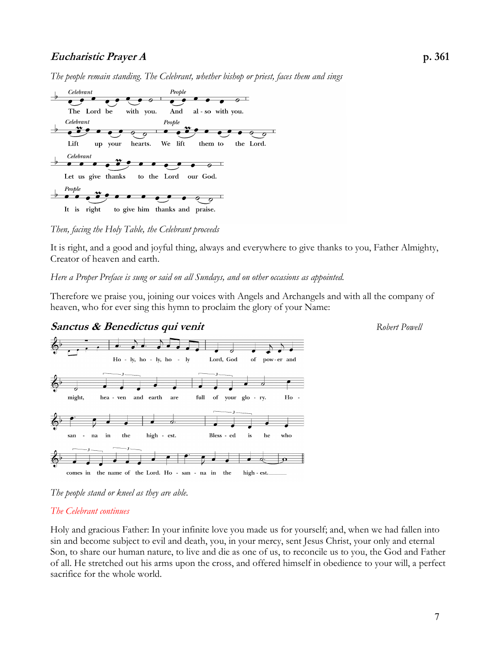# Eucharistic Prayer A p. 361

The people remain standing. The Celebrant, whether bishop or priest, faces them and sings



Then, facing the Holy Table, the Celebrant proceeds

It is right, and a good and joyful thing, always and everywhere to give thanks to you, Father Almighty, Creator of heaven and earth.

## Here a Proper Preface is sung or said on all Sundays, and on other occasions as appointed.

Therefore we praise you, joining our voices with Angels and Archangels and with all the company of heaven, who for ever sing this hymn to proclaim the glory of your Name:





The people stand or kneel as they are able.

## The Celebrant continues

Holy and gracious Father: In your infinite love you made us for yourself; and, when we had fallen into sin and become subject to evil and death, you, in your mercy, sent Jesus Christ, your only and eternal Son, to share our human nature, to live and die as one of us, to reconcile us to you, the God and Father of all. He stretched out his arms upon the cross, and offered himself in obedience to your will, a perfect sacrifice for the whole world.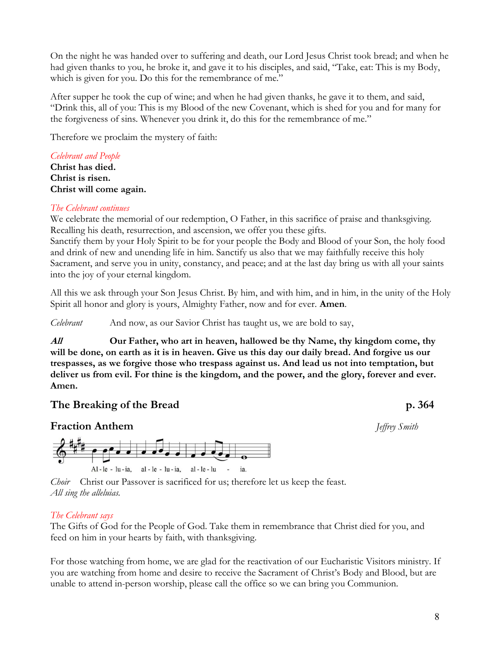On the night he was handed over to suffering and death, our Lord Jesus Christ took bread; and when he had given thanks to you, he broke it, and gave it to his disciples, and said, "Take, eat: This is my Body, which is given for you. Do this for the remembrance of me."

After supper he took the cup of wine; and when he had given thanks, he gave it to them, and said, "Drink this, all of you: This is my Blood of the new Covenant, which is shed for you and for many for the forgiveness of sins. Whenever you drink it, do this for the remembrance of me."

Therefore we proclaim the mystery of faith:

## Celebrant and People

Christ has died. Christ is risen. Christ will come again.

## The Celebrant continues

We celebrate the memorial of our redemption, O Father, in this sacrifice of praise and thanksgiving. Recalling his death, resurrection, and ascension, we offer you these gifts.

Sanctify them by your Holy Spirit to be for your people the Body and Blood of your Son, the holy food and drink of new and unending life in him. Sanctify us also that we may faithfully receive this holy Sacrament, and serve you in unity, constancy, and peace; and at the last day bring us with all your saints into the joy of your eternal kingdom.

All this we ask through your Son Jesus Christ. By him, and with him, and in him, in the unity of the Holy Spirit all honor and glory is yours, Almighty Father, now and for ever. **Amen**.

Celebrant And now, as our Savior Christ has taught us, we are bold to say,

All **Our Father, who art in heaven, hallowed be thy Name, thy kingdom come, thy** will be done, on earth as it is in heaven. Give us this day our daily bread. And forgive us our trespasses, as we forgive those who trespass against us. And lead us not into temptation, but deliver us from evil. For thine is the kingdom, and the power, and the glory, forever and ever. Amen.

# The Breaking of the Bread p. 364

# **Fraction Anthem** *Jeffrey Smith*



Choir Christ our Passover is sacrificed for us; therefore let us keep the feast. All sing the alleluias.

## The Celebrant says

The Gifts of God for the People of God. Take them in remembrance that Christ died for you, and feed on him in your hearts by faith, with thanksgiving.

For those watching from home, we are glad for the reactivation of our Eucharistic Visitors ministry. If you are watching from home and desire to receive the Sacrament of Christ's Body and Blood, but are unable to attend in-person worship, please call the office so we can bring you Communion.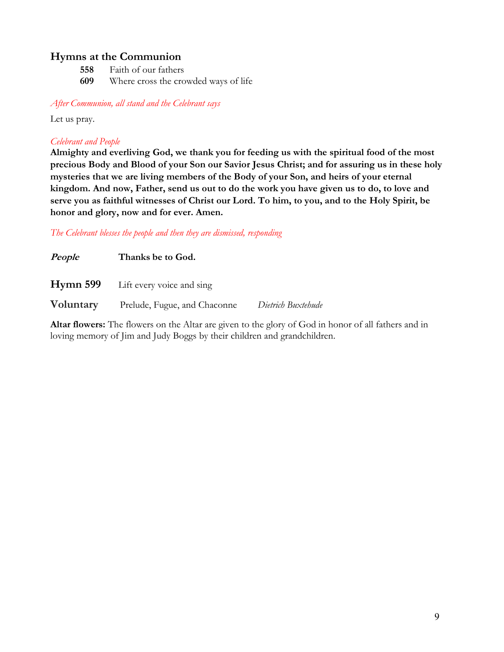# Hymns at the Communion

558 Faith of our fathers 609 Where cross the crowded ways of life

After Communion, all stand and the Celebrant says

Let us pray.

## Celebrant and People

Almighty and everliving God, we thank you for feeding us with the spiritual food of the most precious Body and Blood of your Son our Savior Jesus Christ; and for assuring us in these holy mysteries that we are living members of the Body of your Son, and heirs of your eternal kingdom. And now, Father, send us out to do the work you have given us to do, to love and serve you as faithful witnesses of Christ our Lord. To him, to you, and to the Holy Spirit, be honor and glory, now and for ever. Amen.

The Celebrant blesses the people and then they are dismissed, responding

| People    | Thanks be to God.                         |                    |
|-----------|-------------------------------------------|--------------------|
|           | <b>Hymn 599</b> Lift every voice and sing |                    |
| Voluntary | Prelude, Fugue, and Chaconne              | Dietrich Buxtehude |

Altar flowers: The flowers on the Altar are given to the glory of God in honor of all fathers and in loving memory of Jim and Judy Boggs by their children and grandchildren.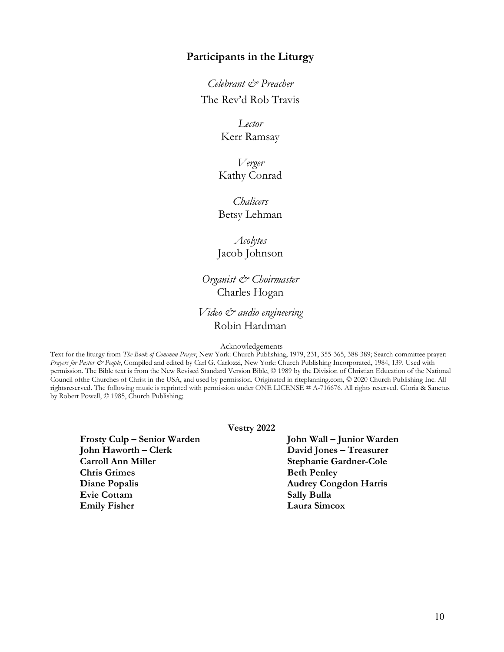## Participants in the Liturgy

Celebrant & Preacher The Rev'd Rob Travis

> Lector Kerr Ramsay

Verger Kathy Conrad

**Chalicers** Betsy Lehman

Acolytes Jacob Johnson

Organist & Choirmaster Charles Hogan

# Video & audio engineering Robin Hardman

Acknowledgements

Text for the liturgy from The Book of Common Prayer, New York: Church Publishing, 1979, 231, 355-365, 388-389; Search committee prayer: Prayers for Pastor & People, Compiled and edited by Carl G. Carlozzi, New York: Church Publishing Incorporated, 1984, 139. Used with permission. The Bible text is from the New Revised Standard Version Bible, © 1989 by the Division of Christian Education of the National Council of the Churches of Christ in the USA, and used by permission. Originated in riteplanning.com, © 2020 Church Publishing Inc. All rights reserved. The following music is reprinted with permission under ONE LICENSE # A-716676. All rights reserved. Gloria & Sanctus by Robert Powell, © 1985, Church Publishing;

Vestry 2022

Frosty Culp – Senior Warden John Wall – Junior Warden John Haworth – Clerk David Jones – Treasurer Carroll Ann Miller Stephanie Gardner-Cole Chris Grimes Beth Penley Diane Popalis Audrey Congdon Harris Evie Cottam Sally Bulla Emily Fisher Laura Simcox